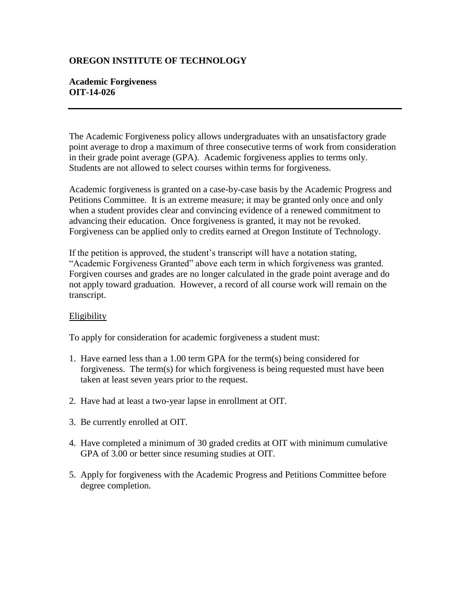## **OREGON INSTITUTE OF TECHNOLOGY**

## **Academic Forgiveness OIT-14-026**

The Academic Forgiveness policy allows undergraduates with an unsatisfactory grade point average to drop a maximum of three consecutive terms of work from consideration in their grade point average (GPA). Academic forgiveness applies to terms only. Students are not allowed to select courses within terms for forgiveness.

Academic forgiveness is granted on a case-by-case basis by the Academic Progress and Petitions Committee. It is an extreme measure; it may be granted only once and only when a student provides clear and convincing evidence of a renewed commitment to advancing their education. Once forgiveness is granted, it may not be revoked. Forgiveness can be applied only to credits earned at Oregon Institute of Technology.

If the petition is approved, the student's transcript will have a notation stating, "Academic Forgiveness Granted" above each term in which forgiveness was granted. Forgiven courses and grades are no longer calculated in the grade point average and do not apply toward graduation. However, a record of all course work will remain on the transcript.

## Eligibility

To apply for consideration for academic forgiveness a student must:

- 1. Have earned less than a 1.00 term GPA for the term(s) being considered for forgiveness. The term(s) for which forgiveness is being requested must have been taken at least seven years prior to the request.
- 2. Have had at least a two-year lapse in enrollment at OIT.
- 3. Be currently enrolled at OIT.
- 4. Have completed a minimum of 30 graded credits at OIT with minimum cumulative GPA of 3.00 or better since resuming studies at OIT.
- 5. Apply for forgiveness with the Academic Progress and Petitions Committee before degree completion.